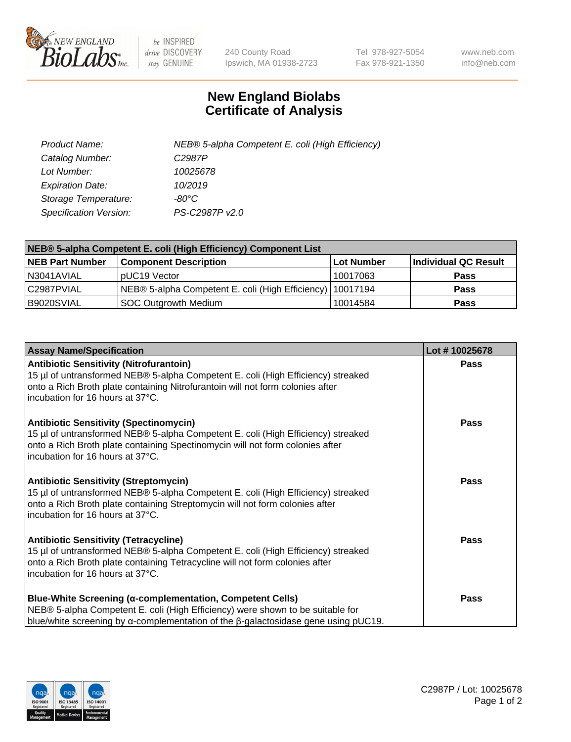

 $be$  INSPIRED drive DISCOVERY stay GENUINE

240 County Road Ipswich, MA 01938-2723 Tel 978-927-5054 Fax 978-921-1350 www.neb.com info@neb.com

## **New England Biolabs Certificate of Analysis**

| Product Name:           | NEB® 5-alpha Competent E. coli (High Efficiency) |
|-------------------------|--------------------------------------------------|
| Catalog Number:         | C <sub>2987</sub> P                              |
| Lot Number:             | 10025678                                         |
| <b>Expiration Date:</b> | 10/2019                                          |
| Storage Temperature:    | -80°C                                            |
| Specification Version:  | PS-C2987P v2.0                                   |

| NEB® 5-alpha Competent E. coli (High Efficiency) Component List |                                                             |            |                      |  |
|-----------------------------------------------------------------|-------------------------------------------------------------|------------|----------------------|--|
| <b>NEB Part Number</b>                                          | <b>Component Description</b>                                | Lot Number | Individual QC Result |  |
| N3041AVIAL                                                      | pUC19 Vector                                                | 10017063   | <b>Pass</b>          |  |
| C2987PVIAL                                                      | NEB® 5-alpha Competent E. coli (High Efficiency)   10017194 |            | <b>Pass</b>          |  |
| B9020SVIAL                                                      | SOC Outgrowth Medium                                        | 10014584   | <b>Pass</b>          |  |

| <b>Assay Name/Specification</b>                                                                                                                                                                                                                          | Lot #10025678 |
|----------------------------------------------------------------------------------------------------------------------------------------------------------------------------------------------------------------------------------------------------------|---------------|
| <b>Antibiotic Sensitivity (Nitrofurantoin)</b><br>15 µl of untransformed NEB® 5-alpha Competent E. coli (High Efficiency) streaked<br>onto a Rich Broth plate containing Nitrofurantoin will not form colonies after<br>incubation for 16 hours at 37°C. | <b>Pass</b>   |
| <b>Antibiotic Sensitivity (Spectinomycin)</b><br>15 µl of untransformed NEB® 5-alpha Competent E. coli (High Efficiency) streaked<br>onto a Rich Broth plate containing Spectinomycin will not form colonies after<br>incubation for 16 hours at 37°C.   | <b>Pass</b>   |
| <b>Antibiotic Sensitivity (Streptomycin)</b><br>15 µl of untransformed NEB® 5-alpha Competent E. coli (High Efficiency) streaked<br>onto a Rich Broth plate containing Streptomycin will not form colonies after<br>incubation for 16 hours at 37°C.     | Pass          |
| <b>Antibiotic Sensitivity (Tetracycline)</b><br>15 µl of untransformed NEB® 5-alpha Competent E. coli (High Efficiency) streaked<br>onto a Rich Broth plate containing Tetracycline will not form colonies after<br>incubation for 16 hours at 37°C.     | <b>Pass</b>   |
| <b>Blue-White Screening (α-complementation, Competent Cells)</b><br>NEB® 5-alpha Competent E. coli (High Efficiency) were shown to be suitable for<br>blue/white screening by $\alpha$ -complementation of the $\beta$ -galactosidase gene using pUC19.  | <b>Pass</b>   |